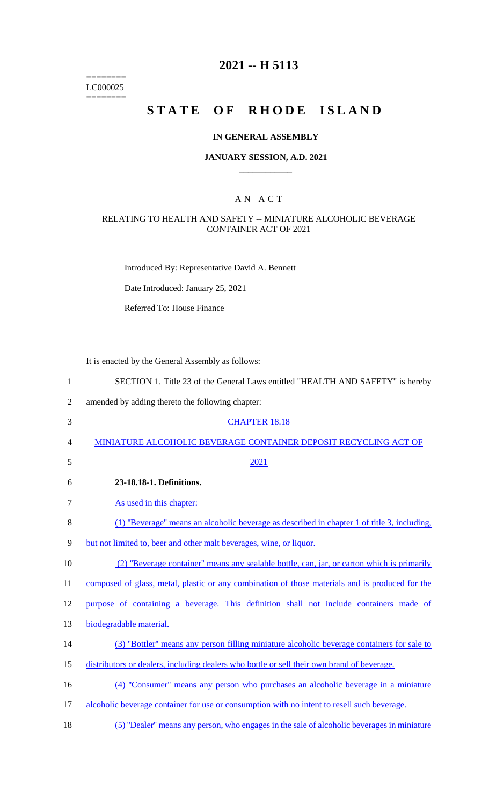======== LC000025  $=$ 

## **2021 -- H 5113**

# **STATE OF RHODE ISLAND**

## **IN GENERAL ASSEMBLY**

#### **JANUARY SESSION, A.D. 2021 \_\_\_\_\_\_\_\_\_\_\_\_**

## A N A C T

#### RELATING TO HEALTH AND SAFETY -- MINIATURE ALCOHOLIC BEVERAGE CONTAINER ACT OF 2021

Introduced By: Representative David A. Bennett

Date Introduced: January 25, 2021

Referred To: House Finance

It is enacted by the General Assembly as follows:

| $\mathbf{1}$   | SECTION 1. Title 23 of the General Laws entitled "HEALTH AND SAFETY" is hereby                  |
|----------------|-------------------------------------------------------------------------------------------------|
| $\overline{2}$ | amended by adding thereto the following chapter:                                                |
| 3              | <b>CHAPTER 18.18</b>                                                                            |
| 4              | MINIATURE ALCOHOLIC BEVERAGE CONTAINER DEPOSIT RECYCLING ACT OF                                 |
| 5              | 2021                                                                                            |
| 6              | 23-18.18-1. Definitions.                                                                        |
| 7              | As used in this chapter:                                                                        |
| 8              | (1) "Beverage" means an alcoholic beverage as described in chapter 1 of title 3, including,     |
| 9              | but not limited to, beer and other malt beverages, wine, or liquor.                             |
| 10             | (2) "Beverage container" means any sealable bottle, can, jar, or carton which is primarily      |
| 11             | composed of glass, metal, plastic or any combination of those materials and is produced for the |
| 12             | purpose of containing a beverage. This definition shall not include containers made of          |
| 13             | biodegradable material.                                                                         |
| 14             | (3) "Bottler" means any person filling miniature alcoholic beverage containers for sale to      |
| 15             | distributors or dealers, including dealers who bottle or sell their own brand of beverage.      |
| 16             | (4) "Consumer" means any person who purchases an alcoholic beverage in a miniature              |
| 17             | alcoholic beverage container for use or consumption with no intent to resell such beverage.     |
| 18             | (5) "Dealer" means any person, who engages in the sale of alcoholic beverages in miniature      |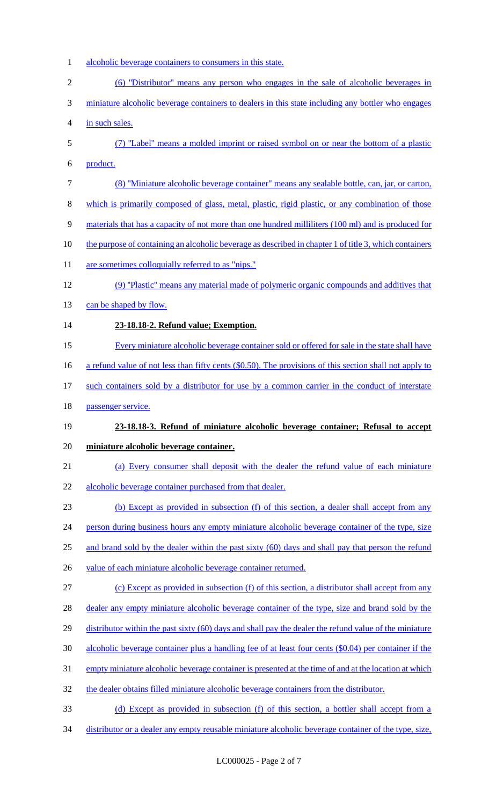- 1 alcoholic beverage containers to consumers in this state.
- (6) ''Distributor'' means any person who engages in the sale of alcoholic beverages in miniature alcoholic beverage containers to dealers in this state including any bottler who engages in such sales. (7) ''Label'' means a molded imprint or raised symbol on or near the bottom of a plastic product. (8) "Miniature alcoholic beverage container" means any sealable bottle, can, jar, or carton, which is primarily composed of glass, metal, plastic, rigid plastic, or any combination of those materials that has a capacity of not more than one hundred milliliters (100 ml) and is produced for 10 the purpose of containing an alcoholic beverage as described in chapter 1 of title 3, which containers 11 are sometimes colloquially referred to as "nips." (9) ''Plastic'' means any material made of polymeric organic compounds and additives that 13 can be shaped by flow. **23-18.18-2. Refund value; Exemption.**  Every miniature alcoholic beverage container sold or offered for sale in the state shall have 16 a refund value of not less than fifty cents (\$0.50). The provisions of this section shall not apply to such containers sold by a distributor for use by a common carrier in the conduct of interstate passenger service. **23-18.18-3. Refund of miniature alcoholic beverage container; Refusal to accept miniature alcoholic beverage container.**  (a) Every consumer shall deposit with the dealer the refund value of each miniature alcoholic beverage container purchased from that dealer. (b) Except as provided in subsection (f) of this section, a dealer shall accept from any 24 person during business hours any empty miniature alcoholic beverage container of the type, size 25 and brand sold by the dealer within the past sixty (60) days and shall pay that person the refund 26 value of each miniature alcoholic beverage container returned. (c) Except as provided in subsection (f) of this section, a distributor shall accept from any 28 dealer any empty miniature alcoholic beverage container of the type, size and brand sold by the 29 distributor within the past sixty (60) days and shall pay the dealer the refund value of the miniature alcoholic beverage container plus a handling fee of at least four cents (\$0.04) per container if the empty miniature alcoholic beverage container is presented at the time of and at the location at which the dealer obtains filled miniature alcoholic beverage containers from the distributor. (d) Except as provided in subsection (f) of this section, a bottler shall accept from a distributor or a dealer any empty reusable miniature alcoholic beverage container of the type, size,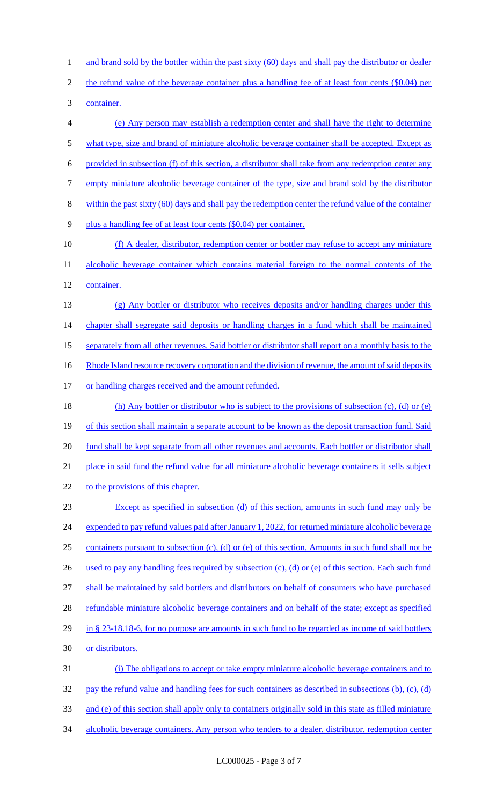1 and brand sold by the bottler within the past sixty (60) days and shall pay the distributor or dealer

2 the refund value of the beverage container plus a handling fee of at least four cents (\$0.04) per

3 container.

4 (e) Any person may establish a redemption center and shall have the right to determine 5 what type, size and brand of miniature alcoholic beverage container shall be accepted. Except as 6 provided in subsection (f) of this section, a distributor shall take from any redemption center any 7 empty miniature alcoholic beverage container of the type, size and brand sold by the distributor 8 within the past sixty (60) days and shall pay the redemption center the refund value of the container 9 plus a handling fee of at least four cents (\$0.04) per container. 10 (f) A dealer, distributor, redemption center or bottler may refuse to accept any miniature 11 alcoholic beverage container which contains material foreign to the normal contents of the 12 container. 13 (g) Any bottler or distributor who receives deposits and/or handling charges under this 14 chapter shall segregate said deposits or handling charges in a fund which shall be maintained 15 separately from all other revenues. Said bottler or distributor shall report on a monthly basis to the 16 Rhode Island resource recovery corporation and the division of revenue, the amount of said deposits 17 or handling charges received and the amount refunded. 18 (h) Any bottler or distributor who is subject to the provisions of subsection (c), (d) or (e) 19 of this section shall maintain a separate account to be known as the deposit transaction fund. Said 20 fund shall be kept separate from all other revenues and accounts. Each bottler or distributor shall 21 place in said fund the refund value for all miniature alcoholic beverage containers it sells subject 22 to the provisions of this chapter. 23 Except as specified in subsection (d) of this section, amounts in such fund may only be 24 expended to pay refund values paid after January 1, 2022, for returned miniature alcoholic beverage 25 containers pursuant to subsection (c), (d) or (e) of this section. Amounts in such fund shall not be 26 used to pay any handling fees required by subsection (c), (d) or (e) of this section. Each such fund 27 shall be maintained by said bottlers and distributors on behalf of consumers who have purchased 28 refundable miniature alcoholic beverage containers and on behalf of the state; except as specified 29 in § 23-18.18-6, for no purpose are amounts in such fund to be regarded as income of said bottlers 30 or distributors. 31 (i) The obligations to accept or take empty miniature alcoholic beverage containers and to

32 pay the refund value and handling fees for such containers as described in subsections (b), (c), (d)

33 and (e) of this section shall apply only to containers originally sold in this state as filled miniature

34 alcoholic beverage containers. Any person who tenders to a dealer, distributor, redemption center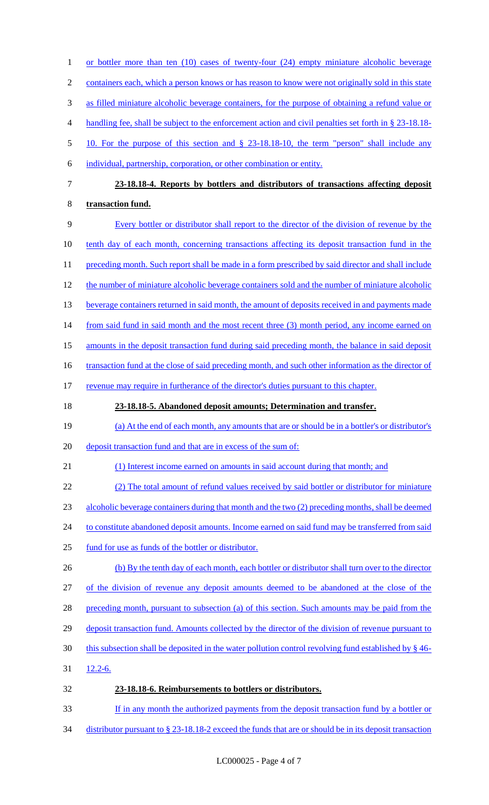| $\mathbf{1}$   | or bottler more than ten $(10)$ cases of twenty-four $(24)$ empty miniature alcoholic beverage          |
|----------------|---------------------------------------------------------------------------------------------------------|
| $\overline{c}$ | containers each, which a person knows or has reason to know were not originally sold in this state      |
| 3              | as filled miniature alcoholic beverage containers, for the purpose of obtaining a refund value or       |
| 4              | handling fee, shall be subject to the enforcement action and civil penalties set forth in $\S 23-18.18$ |
| $\mathfrak s$  | 10. For the purpose of this section and § 23-18.18-10, the term "person" shall include any              |
| 6              | individual, partnership, corporation, or other combination or entity.                                   |
| $\tau$         | 23-18.18-4. Reports by bottlers and distributors of transactions affecting deposit                      |
| $8\,$          | transaction fund.                                                                                       |
| $\mathbf{9}$   | Every bottler or distributor shall report to the director of the division of revenue by the             |
| 10             | tenth day of each month, concerning transactions affecting its deposit transaction fund in the          |
| 11             | preceding month. Such report shall be made in a form prescribed by said director and shall include      |
| 12             | the number of miniature alcoholic beverage containers sold and the number of miniature alcoholic        |
| 13             | beverage containers returned in said month, the amount of deposits received in and payments made        |
| 14             | from said fund in said month and the most recent three (3) month period, any income earned on           |
| 15             | amounts in the deposit transaction fund during said preceding month, the balance in said deposit        |
| 16             | transaction fund at the close of said preceding month, and such other information as the director of    |
| 17             | revenue may require in furtherance of the director's duties pursuant to this chapter.                   |
|                |                                                                                                         |
| 18             | 23-18.18-5. Abandoned deposit amounts; Determination and transfer.                                      |
| 19             | (a) At the end of each month, any amounts that are or should be in a bottler's or distributor's         |
| 20             | deposit transaction fund and that are in excess of the sum of:                                          |
| 21             | (1) Interest income earned on amounts in said account during that month; and                            |
| 22             | (2) The total amount of refund values received by said bottler or distributor for miniature             |
| 23             | alcoholic beverage containers during that month and the two (2) preceding months, shall be deemed       |
| 24             | to constitute abandoned deposit amounts. Income earned on said fund may be transferred from said        |
| 25             | fund for use as funds of the bottler or distributor.                                                    |
| 26             | (b) By the tenth day of each month, each bottler or distributor shall turn over to the director         |
| 27             | of the division of revenue any deposit amounts deemed to be abandoned at the close of the               |
| 28             | preceding month, pursuant to subsection (a) of this section. Such amounts may be paid from the          |
| 29             | deposit transaction fund. Amounts collected by the director of the division of revenue pursuant to      |
| 30             | this subsection shall be deposited in the water pollution control revolving fund established by § 46-   |
| 31             | $12.2 - 6.$                                                                                             |
| 32             | 23-18.18-6. Reimbursements to bottlers or distributors.                                                 |
| 33             | If in any month the authorized payments from the deposit transaction fund by a bottler or               |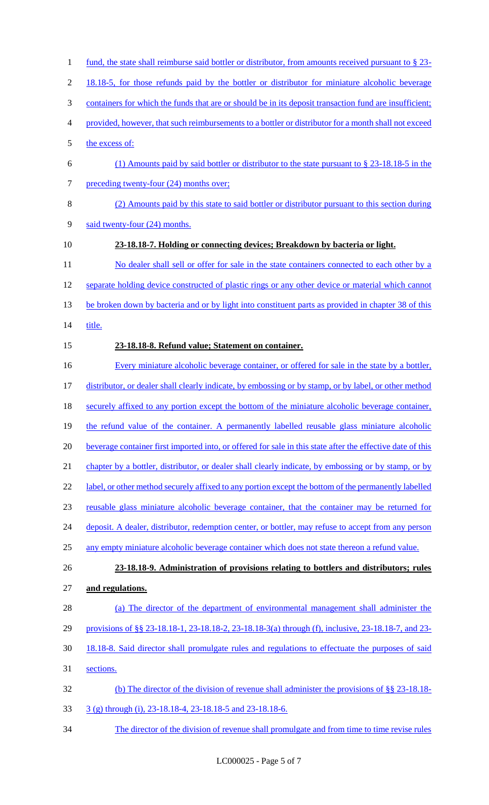2 18.18-5, for those refunds paid by the bottler or distributor for miniature alcoholic beverage containers for which the funds that are or should be in its deposit transaction fund are insufficient; provided, however, that such reimbursements to a bottler or distributor for a month shall not exceed the excess of: (1) Amounts paid by said bottler or distributor to the state pursuant to § 23-18.18-5 in the 7 preceding twenty-four (24) months over; (2) Amounts paid by this state to said bottler or distributor pursuant to this section during said twenty-four (24) months. **23-18.18-7. Holding or connecting devices; Breakdown by bacteria or light.**  11 No dealer shall sell or offer for sale in the state containers connected to each other by a separate holding device constructed of plastic rings or any other device or material which cannot 13 be broken down by bacteria and or by light into constituent parts as provided in chapter 38 of this **title. 23-18.18-8. Refund value; Statement on container.**  16 Every miniature alcoholic beverage container, or offered for sale in the state by a bottler, distributor, or dealer shall clearly indicate, by embossing or by stamp, or by label, or other method securely affixed to any portion except the bottom of the miniature alcoholic beverage container, 19 the refund value of the container. A permanently labelled reusable glass miniature alcoholic beverage container first imported into, or offered for sale in this state after the effective date of this 21 chapter by a bottler, distributor, or dealer shall clearly indicate, by embossing or by stamp, or by 22 label, or other method securely affixed to any portion except the bottom of the permanently labelled reusable glass miniature alcoholic beverage container, that the container may be returned for 24 deposit. A dealer, distributor, redemption center, or bottler, may refuse to accept from any person any empty miniature alcoholic beverage container which does not state thereon a refund value. **23-18.18-9. Administration of provisions relating to bottlers and distributors; rules and regulations.**  (a) The director of the department of environmental management shall administer the provisions of §§ 23-18.18-1, 23-18.18-2, 23-18.18-3(a) through (f), inclusive, 23-18.18-7, and 23- 18.18-8. Said director shall promulgate rules and regulations to effectuate the purposes of said sections. (b) The director of the division of revenue shall administer the provisions of §§ 23-18.18- 33 3(g) through (i), 23-18.18-4, 23-18.18-5 and 23-18.18-6. The director of the division of revenue shall promulgate and from time to time revise rules

1 fund, the state shall reimburse said bottler or distributor, from amounts received pursuant to § 23-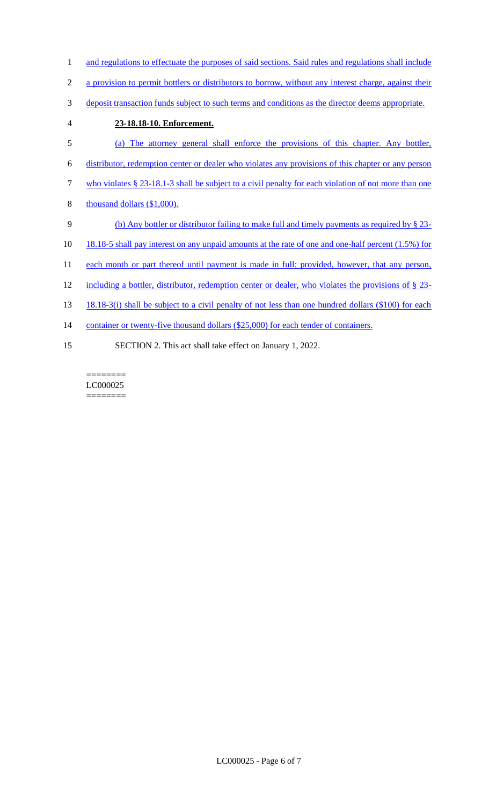- 1 and regulations to effectuate the purposes of said sections. Said rules and regulations shall include
- 2 a provision to permit bottlers or distributors to borrow, without any interest charge, against their
- 3 deposit transaction funds subject to such terms and conditions as the director deems appropriate.
- 4 **23-18.18-10. Enforcement.**
- 5 (a) The attorney general shall enforce the provisions of this chapter. Any bottler, 6 distributor, redemption center or dealer who violates any provisions of this chapter or any person 7 who violates § 23-18.1-3 shall be subject to a civil penalty for each violation of not more than one 8 thousand dollars (\$1,000). 9 (b) Any bottler or distributor failing to make full and timely payments as required by § 23- 10 18.18-5 shall pay interest on any unpaid amounts at the rate of one and one-half percent (1.5%) for 11 each month or part thereof until payment is made in full; provided, however, that any person, 12 including a bottler, distributor, redemption center or dealer, who violates the provisions of § 23- 13 18.18-3(i) shall be subject to a civil penalty of not less than one hundred dollars (\$100) for each 14 container or twenty-five thousand dollars (\$25,000) for each tender of containers. 15 SECTION 2. This act shall take effect on January 1, 2022.

======== LC000025 ========